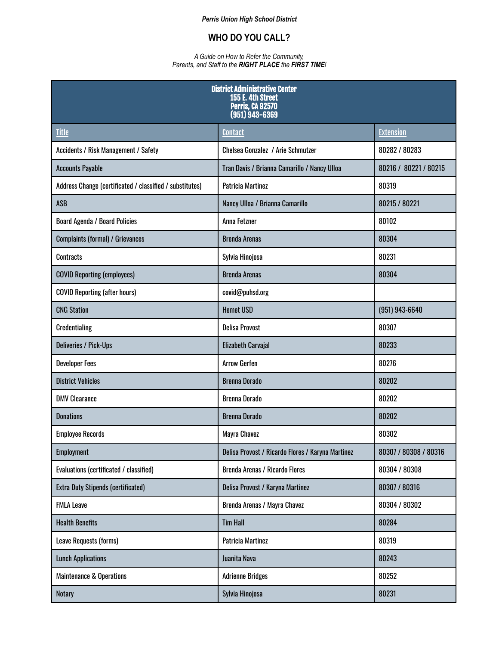## *Perris Union High School District*

## **WHO DO YOU CALL?**

## *A Guide on How to Refer the Community, Parents, and Staff to the RIGHT PLACE the FIRST TIME!*

| <b>District Administrative Center</b><br>155 E. 4th Street<br><b>Perris, CA 92570</b><br>$(951)$ $943 - 6369$ |                                                   |                       |  |
|---------------------------------------------------------------------------------------------------------------|---------------------------------------------------|-----------------------|--|
| <b>Title</b>                                                                                                  | <b>Contact</b>                                    | <b>Extension</b>      |  |
| Accidents / Risk Management / Safety                                                                          | Chelsea Gonzalez / Arie Schmutzer                 | 80282 / 80283         |  |
| <b>Accounts Payable</b>                                                                                       | Tran Davis / Brianna Camarillo / Nancy Ulloa      | 80216 / 80221 / 80215 |  |
| Address Change (certificated / classified / substitutes)                                                      | <b>Patricia Martinez</b>                          | 80319                 |  |
| <b>ASB</b>                                                                                                    | Nancy Ulloa / Brianna Camarillo                   | 80215 / 80221         |  |
| <b>Board Agenda / Board Policies</b>                                                                          | Anna Fetzner                                      | 80102                 |  |
| <b>Complaints (formal) / Grievances</b>                                                                       | <b>Brenda Arenas</b>                              | 80304                 |  |
| <b>Contracts</b>                                                                                              | Sylvia Hinojosa                                   | 80231                 |  |
| <b>COVID Reporting (employees)</b>                                                                            | <b>Brenda Arenas</b>                              | 80304                 |  |
| <b>COVID Reporting (after hours)</b>                                                                          | covid@puhsd.org                                   |                       |  |
| <b>CNG Station</b>                                                                                            | <b>Hemet USD</b>                                  | $(951)$ 943-6640      |  |
| <b>Credentialing</b>                                                                                          | <b>Delisa Provost</b>                             | 80307                 |  |
| <b>Deliveries / Pick-Ups</b>                                                                                  | <b>Elizabeth Carvajal</b>                         | 80233                 |  |
| <b>Developer Fees</b>                                                                                         | <b>Arrow Gerfen</b>                               | 80276                 |  |
| <b>District Vehicles</b>                                                                                      | <b>Brenna Dorado</b>                              | 80202                 |  |
| <b>DMV Clearance</b>                                                                                          | <b>Brenna Dorado</b>                              | 80202                 |  |
| <b>Donations</b>                                                                                              | <b>Brenna Dorado</b>                              | 80202                 |  |
| <b>Employee Records</b>                                                                                       | Mayra Chavez                                      | 80302                 |  |
| <b>Employment</b>                                                                                             | Delisa Provost / Ricardo Flores / Karyna Martinez | 80307 / 80308 / 80316 |  |
| Evaluations (certificated / classified)                                                                       | <b>Brenda Arenas / Ricardo Flores</b>             | 80304 / 80308         |  |
| <b>Extra Duty Stipends (certificated)</b>                                                                     | Delisa Provost / Karyna Martinez                  | 80307 / 80316         |  |
| <b>FMLA Leave</b>                                                                                             | Brenda Arenas / Mayra Chavez                      | 80304 / 80302         |  |
| <b>Health Benefits</b>                                                                                        | <b>Tim Hall</b>                                   | 80284                 |  |
| Leave Requests (forms)                                                                                        | Patricia Martinez                                 | 80319                 |  |
| <b>Lunch Applications</b>                                                                                     | Juanita Nava                                      | 80243                 |  |
| <b>Maintenance &amp; Operations</b>                                                                           | <b>Adrienne Bridges</b>                           | 80252                 |  |
| <b>Notary</b>                                                                                                 | Sylvia Hinojosa                                   | 80231                 |  |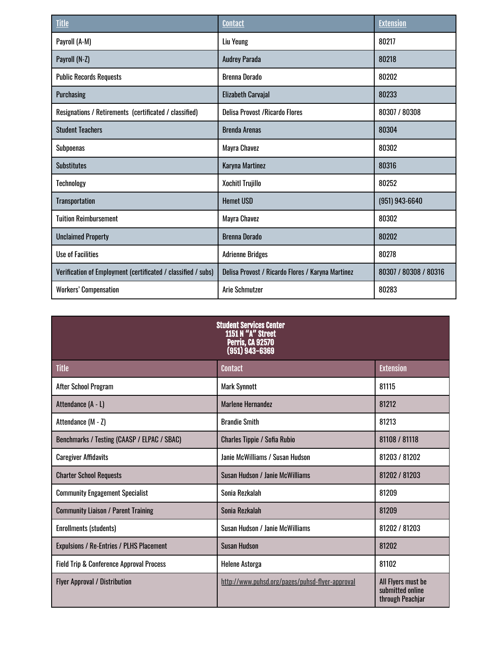| <b>Title</b>                                                  | <b>Contact</b>                                    | <b>Extension</b>      |
|---------------------------------------------------------------|---------------------------------------------------|-----------------------|
| Payroll (A-M)                                                 | Liu Yeung                                         | 80217                 |
| Payroll (N-Z)                                                 | <b>Audrey Parada</b>                              | 80218                 |
| <b>Public Records Requests</b>                                | <b>Brenna Dorado</b>                              | 80202                 |
| Purchasing                                                    | <b>Elizabeth Carvajal</b>                         | 80233                 |
| Resignations / Retirements (certificated / classified)        | <b>Delisa Provost / Ricardo Flores</b>            | 80307 / 80308         |
| <b>Student Teachers</b>                                       | <b>Brenda Arenas</b>                              | 80304                 |
| <b>Subpoenas</b>                                              | Mayra Chavez                                      | 80302                 |
| <b>Substitutes</b>                                            | Karyna Martinez                                   | 80316                 |
| Technology                                                    | <b>Xochitl Trujillo</b>                           | 80252                 |
| <b>Transportation</b>                                         | <b>Hemet USD</b>                                  | $(951)$ 943-6640      |
| <b>Tuition Reimbursement</b>                                  | Mayra Chavez                                      | 80302                 |
| <b>Unclaimed Property</b>                                     | <b>Brenna Dorado</b>                              | 80202                 |
| <b>Use of Facilities</b>                                      | <b>Adrienne Bridges</b>                           | 80278                 |
| Verification of Employment (certificated / classified / subs) | Delisa Provost / Ricardo Flores / Karyna Martinez | 80307 / 80308 / 80316 |
| <b>Workers' Compensation</b>                                  | <b>Arie Schmutzer</b>                             | 80283                 |

| <b>Student Services Center</b><br><b>1151 N "A" Street</b><br><b>Perris, CA 92570</b><br>$(951)$ 943-6369 |                                                 |                                                            |  |
|-----------------------------------------------------------------------------------------------------------|-------------------------------------------------|------------------------------------------------------------|--|
| <b>Title</b>                                                                                              | <b>Contact</b>                                  | <b>Extension</b>                                           |  |
| <b>After School Program</b>                                                                               | <b>Mark Synnott</b>                             | 81115                                                      |  |
| Attendance (A - L)                                                                                        | Marlene Hernandez                               | 81212                                                      |  |
| Attendance (M - Z)                                                                                        | <b>Brandie Smith</b>                            | 81213                                                      |  |
| Benchmarks / Testing (CAASP / ELPAC / SBAC)                                                               | <b>Charles Tippie / Sofia Rubio</b>             | 81108 / 81118                                              |  |
| <b>Caregiver Affidavits</b>                                                                               | Janie McWilliams / Susan Hudson                 | 81203 / 81202                                              |  |
| <b>Charter School Requests</b>                                                                            | Susan Hudson / Janie McWilliams                 | 81202 / 81203                                              |  |
| <b>Community Engagement Specialist</b>                                                                    | Sonia Rezkalah                                  | 81209                                                      |  |
| <b>Community Liaison / Parent Training</b>                                                                | Sonia Rezkalah                                  | 81209                                                      |  |
| <b>Enrollments (students)</b>                                                                             | Susan Hudson / Janie McWilliams                 | 81202 / 81203                                              |  |
| <b>Expulsions / Re-Entries / PLHS Placement</b>                                                           | <b>Susan Hudson</b>                             | 81202                                                      |  |
| <b>Field Trip &amp; Conference Approval Process</b>                                                       | <b>Helene Astorga</b>                           | 81102                                                      |  |
| <b>Flyer Approval / Distribution</b>                                                                      | http://www.puhsd.org/pages/puhsd-flyer-approval | All Flyers must be<br>submitted online<br>through Peachjar |  |